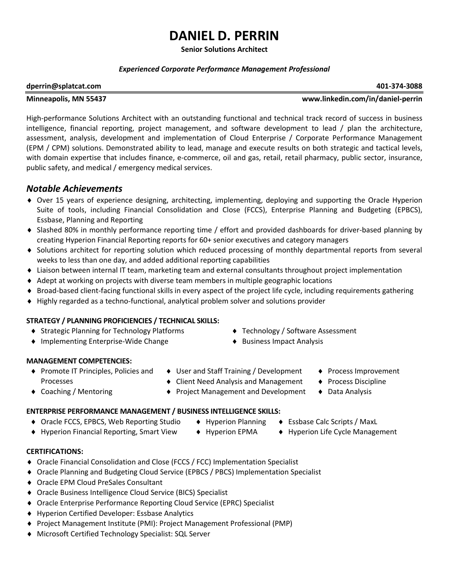# **DANIEL D. PERRIN**

**Senior Solutions Architect**

### *Experienced Corporate Performance Management Professional*

#### **[dperrin@splatcat.com](../../../../Containers/com.apple.mail/Data/Library/AppData/Local/Microsoft/Windows/Temporary%20Internet%20Files/AppData/Local/Microsoft/Windows/Temporary%20Internet%20Files/Content.Outlook/DBW59CC0/dperrin@splatcat.com) 401-374-3088**

#### **Minneapolis, MN 55437 www.linkedin.com/in/daniel-perrin**

High-performance Solutions Architect with an outstanding functional and technical track record of success in business intelligence, financial reporting, project management, and software development to lead / plan the architecture, assessment, analysis, development and implementation of Cloud Enterprise / Corporate Performance Management (EPM / CPM) solutions. Demonstrated ability to lead, manage and execute results on both strategic and tactical levels, with domain expertise that includes finance, e-commerce, oil and gas, retail, retail pharmacy, public sector, insurance, public safety, and medical / emergency medical services.

# *Notable Achievements*

- Over 15 years of experience designing, architecting, implementing, deploying and supporting the Oracle Hyperion Suite of tools, including Financial Consolidation and Close (FCCS), Enterprise Planning and Budgeting (EPBCS), Essbase, Planning and Reporting
- Slashed 80% in monthly performance reporting time / effort and provided dashboards for driver-based planning by creating Hyperion Financial Reporting reports for 60+ senior executives and category managers
- Solutions architect for reporting solution which reduced processing of monthly departmental reports from several weeks to less than one day, and added additional reporting capabilities
- Liaison between internal IT team, marketing team and external consultants throughout project implementation
- Adept at working on projects with diverse team members in multiple geographic locations
- Broad-based client-facing functional skills in every aspect of the project life cycle, including requirements gathering
- Highly regarded as a techno-functional, analytical problem solver and solutions provider

### **STRATEGY / PLANNING PROFICIENCIES / TECHNICAL SKILLS:**

- Strategic Planning for Technology Platforms Technology / Software Assessment
- ♦ Implementing Enterprise-Wide Change **Access 4** Business Impact Analysis
- 
- 

### **MANAGEMENT COMPETENCIES:**

- ◆ Promote IT Principles, Policies and Processes
- ♦ User and Staff Training / Development Process Improvement
- $\triangle$  Client Need Analysis and Management  $\triangle$  Process Discipline
- 
- 
- ◆ Coaching / Mentoring → Project Management and Development Data Analysis

### **ENTERPRISE PERFORMANCE MANAGEMENT / BUSINESS INTELLIGENCE SKILLS:**

- ◆ Oracle FCCS, EPBCS, Web Reporting Studio → Hyperion Planning → Essbase Calc Scripts / MaxL
- ◆ Hyperion Financial Reporting, Smart View → Hyperion EPMA → Hyperion Life Cycle Management
- -
- 
- 

### **CERTIFICATIONS:**

- ◆ Oracle Financial Consolidation and Close (FCCS / FCC) Implementation Specialist
- Oracle Planning and Budgeting Cloud Service (EPBCS / PBCS) Implementation Specialist
- Oracle EPM Cloud PreSales Consultant
- ◆ Oracle Business Intelligence Cloud Service (BICS) Specialist
- Oracle Enterprise Performance Reporting Cloud Service (EPRC) Specialist
- Hyperion Certified Developer: Essbase Analytics
- Project Management Institute (PMI): Project Management Professional (PMP)
- Microsoft Certified Technology Specialist: SQL Server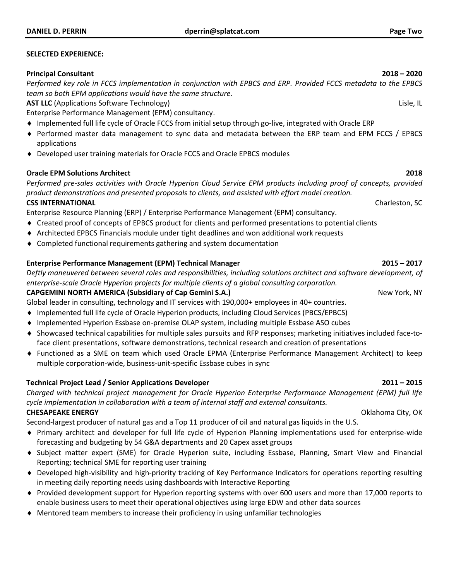#### **SELECTED EXPERIENCE:**

#### **Principal Consultant 2018 – 2020**

*Performed key role in FCCS implementation in conjunction with EPBCS and ERP. Provided FCCS metadata to the EPBCS team so both EPM applications would have the same structure.*

**AST LLC** (Applications Software Technology) Lisle, IL and the state of the state of the state of the state of the state of the state of the state of the state of the state of the state of the state of the state of the sta

Enterprise Performance Management (EPM) consultancy.

- Implemented full life cycle of Oracle FCCS from initial setup through go-live, integrated with Oracle ERP
- Performed master data management to sync data and metadata between the ERP team and EPM FCCS / EPBCS applications
- ◆ Developed user training materials for Oracle FCCS and Oracle EPBCS modules

### **Oracle EPM Solutions Architect 2018**

*Performed pre-sales activities with Oracle Hyperion Cloud Service EPM products including proof of concepts, provided product demonstrations and presented proposals to clients, and assisted with effort model creation.* **CSS INTERNATIONAL** CONSERVATION CONSERVED BY A SUBSEX OF SERVICE SCIENCE OF SERVICE SCIENCE OF SCIENCE OF SCIENCE OF SCIENCE OF SCIENCE OF SCIENCE OF SCIENCE OF SCIENCE OF SCIENCE OF SCIENCE OF SCIENCE OF SCIENCE OF SCIEN

Enterprise Resource Planning (ERP) / Enterprise Performance Management (EPM) consultancy.

- Created proof of concepts of EPBCS product for clients and performed presentations to potential clients
- Architected EPBCS Financials module under tight deadlines and won additional work requests
- Completed functional requirements gathering and system documentation

### **Enterprise Performance Management (EPM) Technical Manager 2015 – 2017**

*Deftly maneuvered between several roles and responsibilities, including solutions architect and software development, of enterprise-scale Oracle Hyperion projects for multiple clients of a global consulting corporation.*

### **CAPGEMINI NORTH AMERICA (Subsidiary of Cap Gemini S.A.)** New York, NY

Global leader in consulting, technology and IT services with 190,000+ employees in 40+ countries.

- Implemented full life cycle of Oracle Hyperion products, including Cloud Services (PBCS/EPBCS)
- Implemented Hyperion Essbase on-premise OLAP system, including multiple Essbase ASO cubes
- Showcased technical capabilities for multiple sales pursuits and RFP responses; marketing initiatives included face-toface client presentations, software demonstrations, technical research and creation of presentations
- Functioned as a SME on team which used Oracle EPMA (Enterprise Performance Management Architect) to keep multiple corporation-wide, business-unit-specific Essbase cubes in sync

### **Technical Project Lead / Senior Applications Developer 2011 – 2015**

*Charged with technical project management for Oracle Hyperion Enterprise Performance Management (EPM) full life cycle implementation in collaboration with a team of internal staff and external consultants.* **CHESAPEAKE ENERGY** Oklahoma City, OK

Second-largest producer of natural gas and a Top 11 producer of oil and natural gas liquids in the U.S.

- Primary architect and developer for full life cycle of Hyperion Planning implementations used for enterprise-wide forecasting and budgeting by 54 G&A departments and 20 Capex asset groups
- Subject matter expert (SME) for Oracle Hyperion suite, including Essbase, Planning, Smart View and Financial Reporting; technical SME for reporting user training
- Developed high-visibility and high-priority tracking of Key Performance Indicators for operations reporting resulting in meeting daily reporting needs using dashboards with Interactive Reporting
- Provided development support for Hyperion reporting systems with over 600 users and more than 17,000 reports to enable business users to meet their operational objectives using large EDW and other data sources
- Mentored team members to increase their proficiency in using unfamiliar technologies